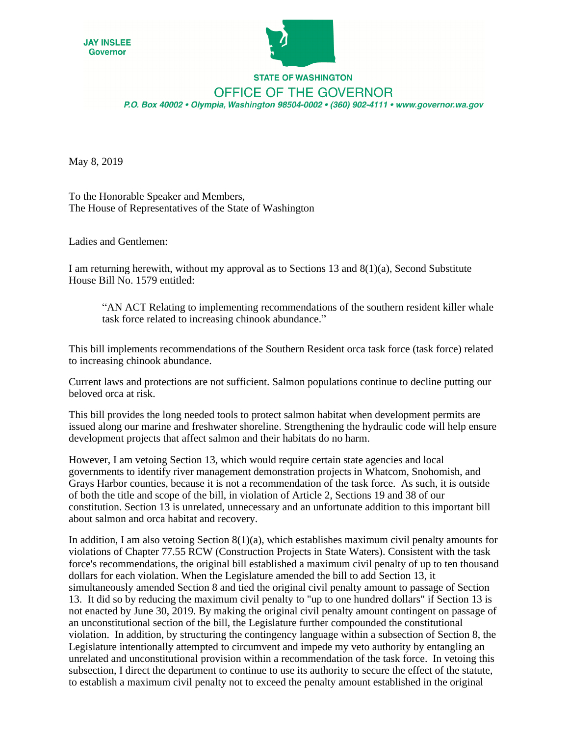



## **STATE OF WASHINGTON OFFICE OF THE GOVERNOR** P.O. Box 40002 · Olympia, Washington 98504-0002 · (360) 902-4111 · www.governor.wa.gov

May 8, 2019

To the Honorable Speaker and Members, The House of Representatives of the State of Washington

Ladies and Gentlemen:

I am returning herewith, without my approval as to Sections 13 and 8(1)(a), Second Substitute House Bill No. 1579 entitled:

³AN ACT Relating to implementing recommendations of the southern resident killer whale task force related to increasing chinook abundance."

This bill implements recommendations of the Southern Resident orca task force (task force) related to increasing chinook abundance.

Current laws and protections are not sufficient. Salmon populations continue to decline putting our beloved orca at risk.

This bill provides the long needed tools to protect salmon habitat when development permits are issued along our marine and freshwater shoreline. Strengthening the hydraulic code will help ensure development projects that affect salmon and their habitats do no harm.

However, I am vetoing Section 13, which would require certain state agencies and local governments to identify river management demonstration projects in Whatcom, Snohomish, and Grays Harbor counties, because it is not a recommendation of the task force. As such, it is outside of both the title and scope of the bill, in violation of Article 2, Sections 19 and 38 of our constitution. Section 13 is unrelated, unnecessary and an unfortunate addition to this important bill about salmon and orca habitat and recovery.

In addition, I am also vetoing Section  $8(1)(a)$ , which establishes maximum civil penalty amounts for violations of Chapter 77.55 RCW (Construction Projects in State Waters). Consistent with the task force's recommendations, the original bill established a maximum civil penalty of up to ten thousand dollars for each violation. When the Legislature amended the bill to add Section 13, it simultaneously amended Section 8 and tied the original civil penalty amount to passage of Section 13. It did so by reducing the maximum civil penalty to "up to one hundred dollars" if Section 13 is not enacted by June 30, 2019. By making the original civil penalty amount contingent on passage of an unconstitutional section of the bill, the Legislature further compounded the constitutional violation. In addition, by structuring the contingency language within a subsection of Section 8, the Legislature intentionally attempted to circumvent and impede my veto authority by entangling an unrelated and unconstitutional provision within a recommendation of the task force. In vetoing this subsection, I direct the department to continue to use its authority to secure the effect of the statute, to establish a maximum civil penalty not to exceed the penalty amount established in the original